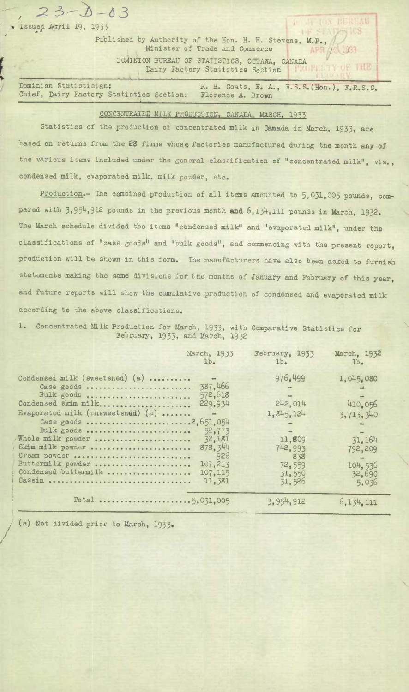$-$ , 23- $\sqrt{2}$ Issued April 19, 1933 Published by Authority of the Hon. H. H. Stevens, M.P., Minister of Trade and Commerce 1933 AP DOMINION BUREAU OF STATISTICS, OTTAWA, CANADA OF THE Dairy Factory Statistics Section Dominion Statistician: R. H. Coats, B. A., F.S.S.(Hon.), F.R.S.C.

Chief, Dairy Factory Statistics Section: Florence A. Brown

## CONCENTRATED MILK PRODUCTION, CANADA, MARCH, 1933

Statistics of the production of concentrated milk in Canada in March, 1933, are based on returns from the 28 firms whose factories manufactured during the month any of the various items included under the general classification of "concentrated milk", viz., condensed milk, evaporated milk, milk powder, etc.

Production.- The combined production of all items amounted to 5,031,005 pounds, compared with 3,954,912 pounds in the previous month and  $6,134,111$  pounds in March, 1932. **The** March **schedule divided** the items "condensed milk" and **"evaporated milk",** under the classifications of "case goods" and "bulk goods", and commencing with the present report, production will be shown in this form. The manufacturers have also been asked to furnish statements making the same divisions for the months of January and February **of** this year, and future reports will show the cumulative production of condensed and evaporated milk according to the above classifications.

1. Concentrated Milk Production for March, 1933, with Comparative Statistics for February, 1933, and March, 1932

|                                                                                                                                                                                                                                                                              | March, 1933<br>1 <sub>b</sub>                                                                                         | February, 1933<br>1b <sub>4</sub>                                                         | March, 1932<br>1 <sub>b</sub>                                                        |
|------------------------------------------------------------------------------------------------------------------------------------------------------------------------------------------------------------------------------------------------------------------------------|-----------------------------------------------------------------------------------------------------------------------|-------------------------------------------------------------------------------------------|--------------------------------------------------------------------------------------|
| Condensed milk (sweetened) (a)<br>Case goods<br>Bulk goods<br>Condensed skim milk<br>Evaporated milk (unsweetened) (a)<br>Case goods 2,651,054<br>Bulk goods<br>Whole milk powder<br>Skim milk powder<br>Cream powder<br>Buttermilk powder<br>Condensed buttermilk<br>Casein | $\frac{1}{2}$<br>387.466<br>572,618<br>229.934<br>52.773<br>32,181<br>878.344<br>926<br>107,213<br>107, 115<br>11,381 | 976,499<br>242.014<br>1,845,124<br>11,809<br>742.993<br>838<br>72,559<br>31,550<br>31,526 | 1,045,080<br>410.056<br>3,713,340<br>31,164<br>792,209<br>104.536<br>32.690<br>5,036 |
| Total 5,031,005                                                                                                                                                                                                                                                              |                                                                                                                       | 3,954,912                                                                                 | 6,134,111                                                                            |

**/** (a) Not divided prior to March, 1933-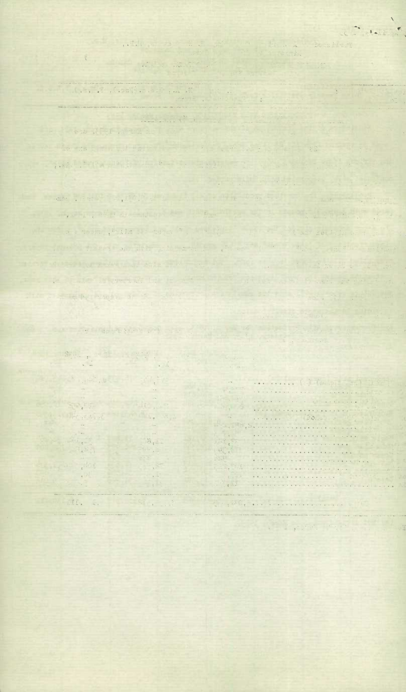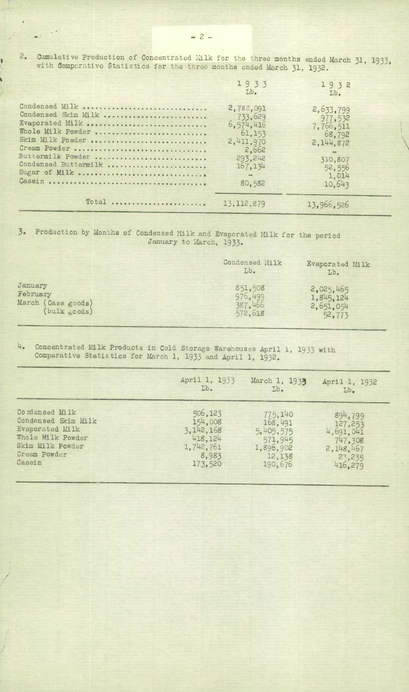4

I.

Ĺ

/

I

2. Cumulative Production of Concentrated Milk for the three months ended March 31, 1933, with Comparative Statistics for the three months ended March 31, 1932.

|                                                                                                                                                                                 | 1933<br>Lb.                                                                                                          | 1932<br>Lb.                                                                                        |
|---------------------------------------------------------------------------------------------------------------------------------------------------------------------------------|----------------------------------------------------------------------------------------------------------------------|----------------------------------------------------------------------------------------------------|
| Condensed Milk<br>Condensed Skim Milk<br>Evaporated Milk<br>Whole Milk Powder<br>Skim Milk Powder<br>Cream Powder<br>Buttermilk Powder<br>Condensed Buttermilk<br>Sugar of Milk | 2,788,091<br>733.629<br>6,574,416<br>61, 153<br>2,411,970<br>2,662<br>293.242<br>167.134<br>$\overline{a}$<br>80,582 | 2,633,799<br>977,532<br>7,766,511<br>68,792<br>2, 144, 872<br>310,807<br>52,556<br>1,014<br>10,643 |
| Total                                                                                                                                                                           | 13, 112, 879                                                                                                         | 13,966,526                                                                                         |

## Production by Months of Condensed Hilk and Evaporated Milk for the period January to March, 1933-

|                    | Condensed Milk<br>Lb. | Evaporated Milk<br>Lb. |
|--------------------|-----------------------|------------------------|
| January            | 851,508               | 2,025,465              |
| February           | 976.499               | 1,845,124              |
| March (Case goods) | 387,466               | 2,651,054              |
| (bulk goods)       | 572,618               | 52,773                 |

14. Concentrated Milk Products in Cold. Storage Warehouses April 1, 1933 with Comparative Statistics for March 1, 1933 and April 1, 1932.

|                                                                                                                             | April 1, 1933                                                                 | March 1, 1933                                                                | April 1, 1932                                                     |
|-----------------------------------------------------------------------------------------------------------------------------|-------------------------------------------------------------------------------|------------------------------------------------------------------------------|-------------------------------------------------------------------|
|                                                                                                                             | Lb.                                                                           | Lb.                                                                          | Lb.                                                               |
| Condensed Milk<br>Condensed Skim Milk<br>Evaporated Milk<br>Whole Milk Powder<br>Skim Milk Powder<br>Cream Powder<br>Casein | 506,123<br>154,008<br>3, 142, 168<br>418.124<br>1,742,761<br>8,983<br>173,520 | 775,140<br>168.491<br>5,405,575<br>571.945<br>1,896,902<br>12,138<br>190.676 | 894,799<br>4,691,041<br>747,308<br>2,148,467<br>23,235<br>416.279 |